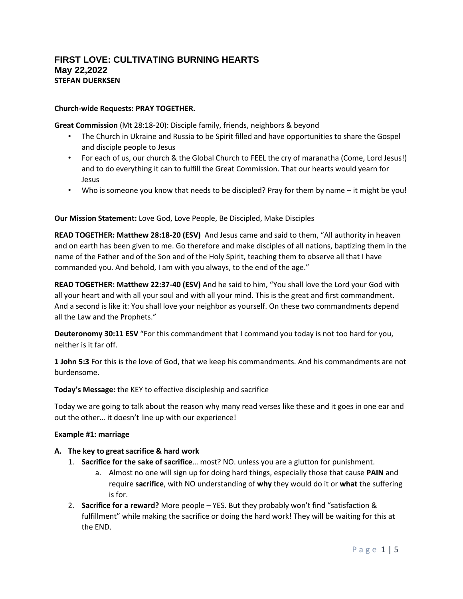# **FIRST LOVE: CULTIVATING BURNING HEARTS May 22,2022 STEFAN DUERKSEN**

#### **Church-wide Requests: PRAY TOGETHER.**

**Great Commission** (Mt 28:18-20): Disciple family, friends, neighbors & beyond

- The Church in Ukraine and Russia to be Spirit filled and have opportunities to share the Gospel and disciple people to Jesus
- For each of us, our church & the Global Church to FEEL the cry of maranatha (Come, Lord Jesus!) and to do everything it can to fulfill the Great Commission. That our hearts would yearn for Jesus
- Who is someone you know that needs to be discipled? Pray for them by name it might be you!

#### **Our Mission Statement:** Love God, Love People, Be Discipled, Make Disciples

**READ TOGETHER: Matthew 28:18-20 (ESV)** And Jesus came and said to them, "All authority in heaven and on earth has been given to me. Go therefore and make disciples of all nations, baptizing them in the name of the Father and of the Son and of the Holy Spirit, teaching them to observe all that I have commanded you. And behold, I am with you always, to the end of the age."

**READ TOGETHER: Matthew 22:37-40 (ESV)** And he said to him, "You shall love the Lord your God with all your heart and with all your soul and with all your mind. This is the great and first commandment. And a second is like it: You shall love your neighbor as yourself. On these two commandments depend all the Law and the Prophets."

**Deuteronomy 30:11 ESV** "For this commandment that I command you today is not too hard for you, neither is it far off.

**1 John 5:3** For this is the love of God, that we keep his commandments. And his commandments are not burdensome.

**Today's Message:** the KEY to effective discipleship and sacrifice

Today we are going to talk about the reason why many read verses like these and it goes in one ear and out the other… it doesn't line up with our experience!

#### **Example #1: marriage**

#### **A. The key to great sacrifice & hard work**

- 1. **Sacrifice for the sake of sacrifice**… most? NO. unless you are a glutton for punishment.
	- a. Almost no one will sign up for doing hard things, especially those that cause **PAIN** and require **sacrifice**, with NO understanding of **why** they would do it or **what** the suffering is for.
- 2. **Sacrifice for a reward?** More people YES. But they probably won't find "satisfaction & fulfillment" while making the sacrifice or doing the hard work! They will be waiting for this at the END.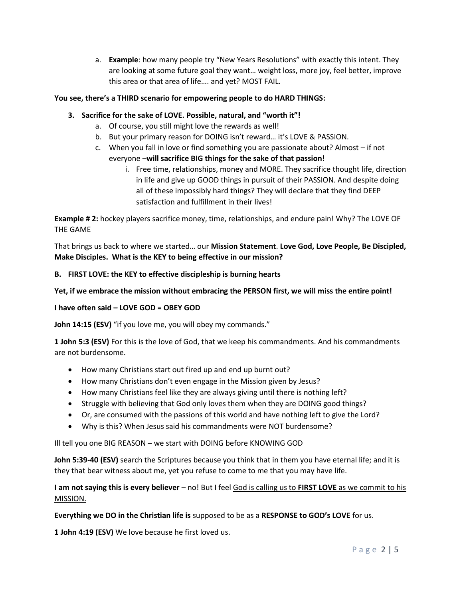a. **Example**: how many people try "New Years Resolutions" with exactly this intent. They are looking at some future goal they want… weight loss, more joy, feel better, improve this area or that area of life…. and yet? MOST FAIL.

## **You see, there's a THIRD scenario for empowering people to do HARD THINGS:**

### **3. Sacrifice for the sake of LOVE. Possible, natural, and "worth it"!**

- a. Of course, you still might love the rewards as well!
- b. But your primary reason for DOING isn't reward… it's LOVE & PASSION.
- c. When you fall in love or find something you are passionate about? Almost if not everyone –**will sacrifice BIG things for the sake of that passion!**
	- i. Free time, relationships, money and MORE. They sacrifice thought life, direction in life and give up GOOD things in pursuit of their PASSION. And despite doing all of these impossibly hard things? They will declare that they find DEEP satisfaction and fulfillment in their lives!

**Example # 2:** hockey players sacrifice money, time, relationships, and endure pain! Why? The LOVE OF THE GAME

That brings us back to where we started… our **Mission Statement**. **Love God, Love People, Be Discipled, Make Disciples. What is the KEY to being effective in our mission?**

#### **B. FIRST LOVE: the KEY to effective discipleship is burning hearts**

**Yet, if we embrace the mission without embracing the PERSON first, we will miss the entire point!**

#### **I have often said – LOVE GOD = OBEY GOD**

**John 14:15 (ESV)** "if you love me, you will obey my commands."

**1 John 5:3 (ESV)** For this is the love of God, that we keep his commandments. And his commandments are not burdensome.

- How many Christians start out fired up and end up burnt out?
- How many Christians don't even engage in the Mission given by Jesus?
- How many Christians feel like they are always giving until there is nothing left?
- Struggle with believing that God only loves them when they are DOING good things?
- Or, are consumed with the passions of this world and have nothing left to give the Lord?
- Why is this? When Jesus said his commandments were NOT burdensome?

Ill tell you one BIG REASON – we start with DOING before KNOWING GOD

**John 5:39-40 (ESV)** search the Scriptures because you think that in them you have eternal life; and it is they that bear witness about me, yet you refuse to come to me that you may have life.

**I am not saying this is every believer** – no! But I feel God is calling us to **FIRST LOVE** as we commit to his MISSION.

**Everything we DO in the Christian life is** supposed to be as a **RESPONSE to GOD's LOVE** for us.

**1 John 4:19 (ESV)** We love because he first loved us.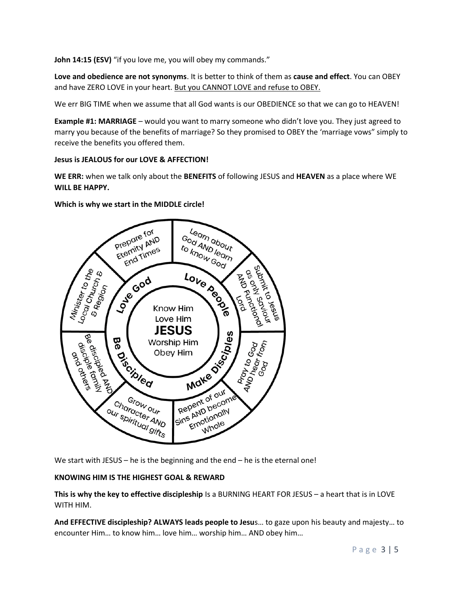**John 14:15 (ESV)** "if you love me, you will obey my commands."

**Love and obedience are not synonyms**. It is better to think of them as **cause and effect**. You can OBEY and have ZERO LOVE in your heart. But you CANNOT LOVE and refuse to OBEY.

We err BIG TIME when we assume that all God wants is our OBEDIENCE so that we can go to HEAVEN!

**Example #1: MARRIAGE** – would you want to marry someone who didn't love you. They just agreed to marry you because of the benefits of marriage? So they promised to OBEY the 'marriage vows" simply to receive the benefits you offered them.

#### **Jesus is JEALOUS for our LOVE & AFFECTION!**

**WE ERR:** when we talk only about the **BENEFITS** of following JESUS and **HEAVEN** as a place where WE **WILL BE HAPPY.** 

**Which is why we start in the MIDDLE circle!**



We start with JESUS – he is the beginning and the end – he is the eternal one!

#### **KNOWING HIM IS THE HIGHEST GOAL & REWARD**

**This is why the key to effective discipleship** Is a BURNING HEART FOR JESUS – a heart that is in LOVE WITH HIM.

**And EFFECTIVE discipleship? ALWAYS leads people to Jesu**s… to gaze upon his beauty and majesty… to encounter Him… to know him… love him… worship him… AND obey him…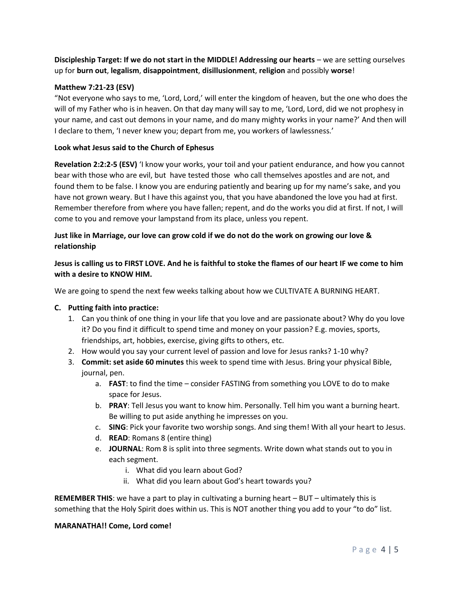**Discipleship Target: If we do not start in the MIDDLE! Addressing our hearts** – we are setting ourselves up for **burn out**, **legalism**, **disappointment**, **disillusionment**, **religion** and possibly **worse**!

## **Matthew 7:21-23 (ESV)**

"Not everyone who says to me, 'Lord, Lord,' will enter the kingdom of heaven, but the one who does the will of my Father who is in heaven. On that day many will say to me, 'Lord, Lord, did we not prophesy in your name, and cast out demons in your name, and do many mighty works in your name?' And then will I declare to them, 'I never knew you; depart from me, you workers of lawlessness.'

### **Look what Jesus said to the Church of Ephesus**

**Revelation 2:2:2-5 (ESV)** 'I know your works, your toil and your patient endurance, and how you cannot bear with those who are evil, but have tested those who call themselves apostles and are not, and found them to be false. I know you are enduring patiently and bearing up for my name's sake, and you have not grown weary. But I have this against you, that you have abandoned the love you had at first. Remember therefore from where you have fallen; repent, and do the works you did at first. If not, I will come to you and remove your lampstand from its place, unless you repent.

# **Just like in Marriage, our love can grow cold if we do not do the work on growing our love & relationship**

# **Jesus is calling us to FIRST LOVE. And he is faithful to stoke the flames of our heart IF we come to him with a desire to KNOW HIM.**

We are going to spend the next few weeks talking about how we CULTIVATE A BURNING HEART.

#### **C. Putting faith into practice:**

- 1. Can you think of one thing in your life that you love and are passionate about? Why do you love it? Do you find it difficult to spend time and money on your passion? E.g. movies, sports, friendships, art, hobbies, exercise, giving gifts to others, etc.
- 2. How would you say your current level of passion and love for Jesus ranks? 1-10 why?
- 3. **Commit: set aside 60 minutes** this week to spend time with Jesus. Bring your physical Bible, journal, pen.
	- a. **FAST**: to find the time consider FASTING from something you LOVE to do to make space for Jesus.
	- b. **PRAY**: Tell Jesus you want to know him. Personally. Tell him you want a burning heart. Be willing to put aside anything he impresses on you.
	- c. **SING**: Pick your favorite two worship songs. And sing them! With all your heart to Jesus.
	- d. **READ**: Romans 8 (entire thing)
	- e. **JOURNAL**: Rom 8 is split into three segments. Write down what stands out to you in each segment.
		- i. What did you learn about God?
		- ii. What did you learn about God's heart towards you?

**REMEMBER THIS**: we have a part to play in cultivating a burning heart – BUT – ultimately this is something that the Holy Spirit does within us. This is NOT another thing you add to your "to do" list.

#### **MARANATHA!! Come, Lord come!**